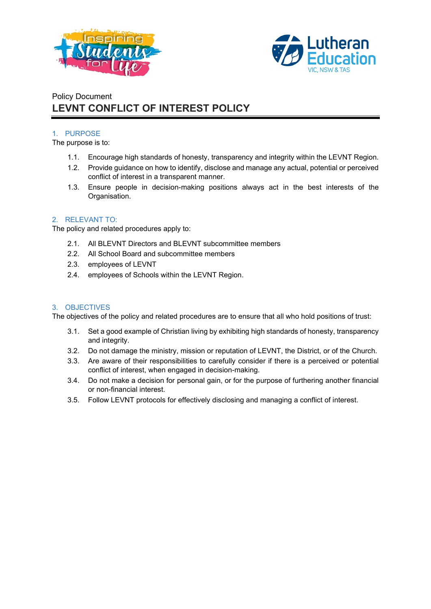



# Policy Document **LEVNT CONFLICT OF INTEREST POLICY**

## 1. PURPOSE

The purpose is to:

- 1.1. Encourage high standards of honesty, transparency and integrity within the LEVNT Region.
- 1.2. Provide guidance on how to identify, disclose and manage any actual, potential or perceived conflict of interest in a transparent manner.
- 1.3. Ensure people in decision-making positions always act in the best interests of the Organisation.

## 2. RELEVANT TO:

The policy and related procedures apply to:

- 2.1. All BLEVNT Directors and BLEVNT subcommittee members
- 2.2. All School Board and subcommittee members
- 2.3. employees of LEVNT
- 2.4. employees of Schools within the LEVNT Region.

## 3. OBJECTIVES

The objectives of the policy and related procedures are to ensure that all who hold positions of trust:

- 3.1. Set a good example of Christian living by exhibiting high standards of honesty, transparency and integrity.
- 3.2. Do not damage the ministry, mission or reputation of LEVNT, the District, or of the Church.
- 3.3. Are aware of their responsibilities to carefully consider if there is a perceived or potential conflict of interest, when engaged in decision-making.
- 3.4. Do not make a decision for personal gain, or for the purpose of furthering another financial or non-financial interest.
- 3.5. Follow LEVNT protocols for effectively disclosing and managing a conflict of interest.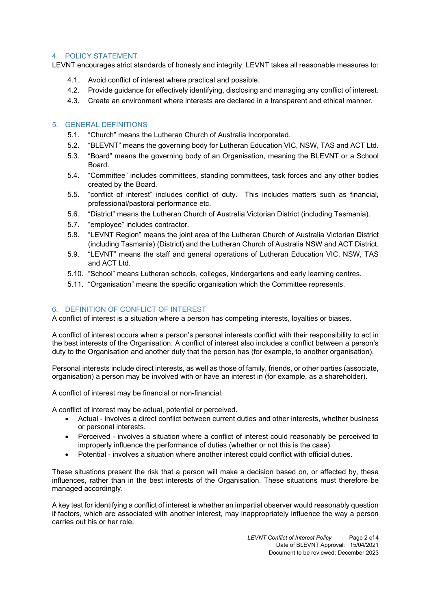## 4. POLICY STATEMENT

LEVNT encourages strict standards of honesty and integrity. LEVNT takes all reasonable measures to:

- 4.1. Avoid conflict of interest where practical and possible.
- 4.2. Provide guidance for effectively identifying, disclosing and managing any conflict of interest.
- 4.3. Create an environment where interests are declared in a transparent and ethical manner.

## 5. GENERAL DEFINITIONS

- 5.1. "Church" means the Lutheran Church of Australia Incorporated.
- 5.2. "BLEVNT" means the governing body for Lutheran Education VIC, NSW, TAS and ACT Ltd.
- 5.3. "Board" means the governing body of an Organisation, meaning the BLEVNT or a School Board.
- 5.4. "Committee" includes committees, standing committees, task forces and any other bodies created by the Board.
- 5.5. "conflict of interest" includes conflict of duty. This includes matters such as financial, professional/pastoral performance etc.
- 5.6. "District" means the Lutheran Church of Australia Victorian District (including Tasmania).
- 5.7. "employee" includes contractor.
- 5.8. "LEVNT Region" means the joint area of the Lutheran Church of Australia Victorian District (including Tasmania) (District) and the Lutheran Church of Australia NSW and ACT District.
- 5.9. "LEVNT" means the staff and general operations of Lutheran Education VIC, NSW, TAS and ACT Ltd.
- 5.10. "School" means Lutheran schools, colleges, kindergartens and early learning centres.
- 5.11. "Organisation" means the specific organisation which the Committee represents.

#### 6. DEFINITION OF CONFLICT OF INTEREST

A conflict of interest is a situation where a person has competing interests, loyalties or biases.

A conflict of interest occurs when a person's personal interests conflict with their responsibility to act in the best interests of the Organisation. A conflict of interest also includes a conflict between a person's duty to the Organisation and another duty that the person has (for example, to another organisation).

Personal interests include direct interests, as well as those of family, friends, or other parties (associate, organisation) a person may be involved with or have an interest in (for example, as a shareholder).

A conflict of interest may be financial or non-financial.

A conflict of interest may be actual, potential or perceived.

- Actual involves a direct conflict between current duties and other interests, whether business or personal interests.
- Perceived involves a situation where a conflict of interest could reasonably be perceived to improperly influence the performance of duties (whether or not this is the case).
- Potential involves a situation where another interest could conflict with official duties.

These situations present the risk that a person will make a decision based on, or affected by, these influences, rather than in the best interests of the Organisation. These situations must therefore be managed accordingly.

A key test for identifying a conflict of interest is whether an impartial observer would reasonably question if factors, which are associated with another interest, may inappropriately influence the way a person carries out his or her role.

> *LEVNT Conflict of Interest Policy* Page 2 of 4 Date of BLEVNT Approval: 15/04/2021 Document to be reviewed: December 2023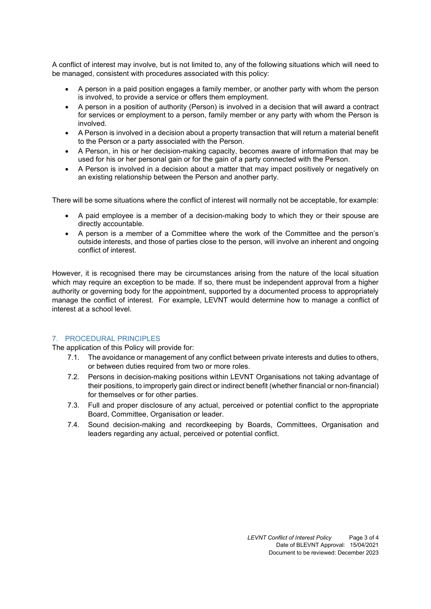A conflict of interest may involve, but is not limited to, any of the following situations which will need to be managed, consistent with procedures associated with this policy:

- A person in a paid position engages a family member, or another party with whom the person is involved, to provide a service or offers them employment.
- A person in a position of authority (Person) is involved in a decision that will award a contract for services or employment to a person, family member or any party with whom the Person is involved.
- A Person is involved in a decision about a property transaction that will return a material benefit to the Person or a party associated with the Person.
- A Person, in his or her decision-making capacity, becomes aware of information that may be used for his or her personal gain or for the gain of a party connected with the Person.
- A Person is involved in a decision about a matter that may impact positively or negatively on an existing relationship between the Person and another party.

There will be some situations where the conflict of interest will normally not be acceptable, for example:

- A paid employee is a member of a decision-making body to which they or their spouse are directly accountable.
- A person is a member of a Committee where the work of the Committee and the person's outside interests, and those of parties close to the person, will involve an inherent and ongoing conflict of interest.

However, it is recognised there may be circumstances arising from the nature of the local situation which may require an exception to be made. If so, there must be independent approval from a higher authority or governing body for the appointment, supported by a documented process to appropriately manage the conflict of interest. For example, LEVNT would determine how to manage a conflict of interest at a school level.

#### 7. PROCEDURAL PRINCIPLES

The application of this Policy will provide for:

- 7.1. The avoidance or management of any conflict between private interests and duties to others, or between duties required from two or more roles.
- 7.2. Persons in decision-making positions within LEVNT Organisations not taking advantage of their positions, to improperly gain direct or indirect benefit (whether financial or non-financial) for themselves or for other parties.
- 7.3. Full and proper disclosure of any actual, perceived or potential conflict to the appropriate Board, Committee, Organisation or leader.
- 7.4. Sound decision-making and recordkeeping by Boards, Committees, Organisation and leaders regarding any actual, perceived or potential conflict.